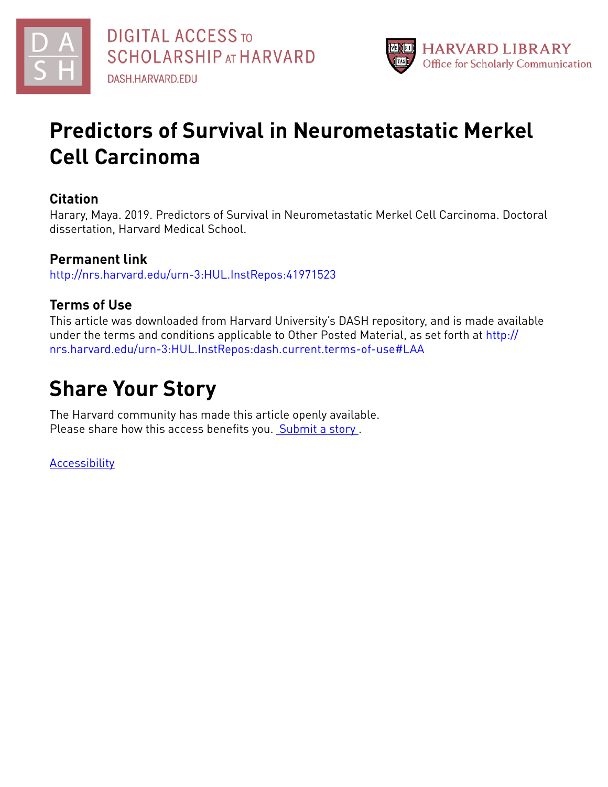



# **Predictors of Survival in Neurometastatic Merkel Cell Carcinoma**

# **Citation**

Harary, Maya. 2019. Predictors of Survival in Neurometastatic Merkel Cell Carcinoma. Doctoral dissertation, Harvard Medical School.

# **Permanent link**

<http://nrs.harvard.edu/urn-3:HUL.InstRepos:41971523>

# **Terms of Use**

This article was downloaded from Harvard University's DASH repository, and is made available under the terms and conditions applicable to Other Posted Material, as set forth at [http://](http://nrs.harvard.edu/urn-3:HUL.InstRepos:dash.current.terms-of-use#LAA) [nrs.harvard.edu/urn-3:HUL.InstRepos:dash.current.terms-of-use#LAA](http://nrs.harvard.edu/urn-3:HUL.InstRepos:dash.current.terms-of-use#LAA)

# **Share Your Story**

The Harvard community has made this article openly available. Please share how this access benefits you. [Submit](http://osc.hul.harvard.edu/dash/open-access-feedback?handle=&title=Predictors%20of%20Survival%20in%20Neurometastatic%20Merkel%20Cell%20Carcinoma&community=1/4454685&collection=1/11407446&owningCollection1/11407446&harvardAuthors=b1cf97424552f0b2ba8b9e02c287241b&departmentScholarly%20Project) a story .

[Accessibility](https://dash.harvard.edu/pages/accessibility)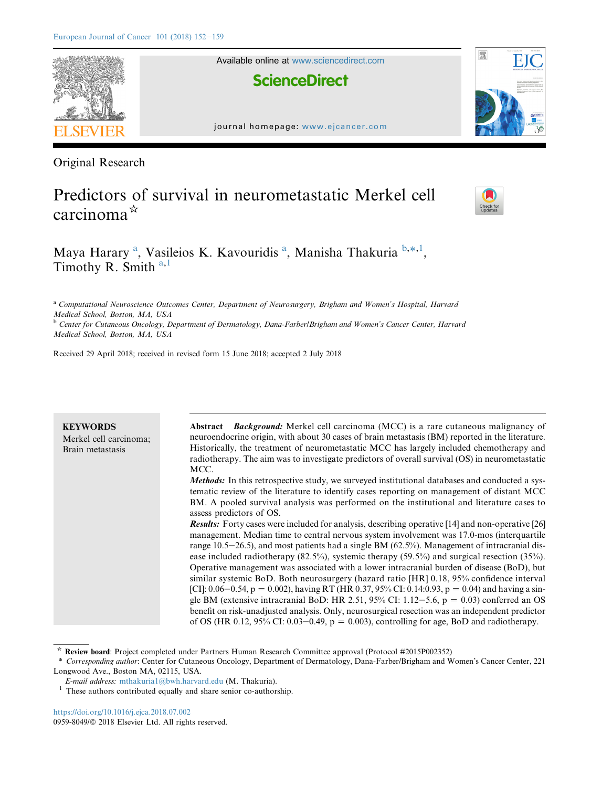

Available online at [www.sciencedirect.com](www.sciencedirect.com/science/journal/09598049)

**ScienceDirect** 





Original Research

# Predictors of survival in neurometastatic Merkel cell carcinoma\*



Maya Harary<sup>a</sup>, Vasileios K. Kavouridis<sup>a</sup>, Manisha Thakuria<sup>b,\*,1</sup>, Timothy R. Smith <sup>a,1</sup>

<sup>a</sup> Computational Neuroscience Outcomes Center, Department of Neurosurgery, Brigham and Women's Hospital, Harvard Medical School, Boston, MA, USA

<sup>b</sup> Center for Cutaneous Oncology, Department of Dermatology, Dana-Farber/Brigham and Women's Cancer Center, Harvard Medical School, Boston, MA, USA

Received 29 April 2018; received in revised form 15 June 2018; accepted 2 July 2018

| <b>KEYWORDS</b><br>Merkel cell carcinoma;<br>Brain metastasis | <b>Background:</b> Merkel cell carcinoma (MCC) is a rare cutaneous malignancy of<br>Abstract<br>neuroendocrine origin, with about 30 cases of brain metastasis (BM) reported in the literature.<br>Historically, the treatment of neurometastatic MCC has largely included chemotherapy and<br>radiotherapy. The aim was to investigate predictors of overall survival (OS) in neurometastatic                     |
|---------------------------------------------------------------|--------------------------------------------------------------------------------------------------------------------------------------------------------------------------------------------------------------------------------------------------------------------------------------------------------------------------------------------------------------------------------------------------------------------|
|                                                               | MCC.<br><b>Methods:</b> In this retrospective study, we surveyed institutional databases and conducted a sys-                                                                                                                                                                                                                                                                                                      |
|                                                               | tematic review of the literature to identify cases reporting on management of distant MCC<br>BM. A pooled survival analysis was performed on the institutional and literature cases to                                                                                                                                                                                                                             |
|                                                               | assess predictors of OS.                                                                                                                                                                                                                                                                                                                                                                                           |
|                                                               | <b>Results:</b> Forty cases were included for analysis, describing operative [14] and non-operative [26]<br>management. Median time to central nervous system involvement was 17.0-mos (interquartile<br>range 10.5–26.5), and most patients had a single BM $(62.5\%)$ . Management of intracranial dis-<br>ease included radiotherapy $(82.5\%)$ , systemic therapy $(59.5\%)$ and surgical resection $(35\%)$ . |
|                                                               | Operative management was associated with a lower intracranial burden of disease (BoD), but<br>similar systemic BoD. Both neurosurgery (hazard ratio [HR] 0.18, 95% confidence interval                                                                                                                                                                                                                             |
|                                                               | [CI]: 0.06–0.54, p = 0.002), having RT (HR 0.37, 95% CI: 0.14:0.93, p = 0.04) and having a sin-<br>gle BM (extensive intracranial BoD: HR 2.51, 95% CI: 1.12–5.6, $p = 0.03$ ) conferred an OS                                                                                                                                                                                                                     |
|                                                               | benefit on risk-unadjusted analysis. Only, neurosurgical resection was an independent predictor                                                                                                                                                                                                                                                                                                                    |
|                                                               | of OS (HR 0.12, 95% CI: 0.03–0.49, $p = 0.003$ ), controlling for age, BoD and radiotherapy.                                                                                                                                                                                                                                                                                                                       |

<sup>\*</sup> Review board: Project completed under Partners Human Research Committee approval (Protocol #2015P002352)

<https://doi.org/10.1016/j.ejca.2018.07.002> 0959-8049/@ 2018 Elsevier Ltd. All rights reserved.

<sup>\*</sup> Corresponding author: Center for Cutaneous Oncology, Department of Dermatology, Dana-Farber/Brigham and Women's Cancer Center, 221 Longwood Ave., Boston MA, 02115, USA.

E-mail address: [mthakuria1@bwh.harvard.edu](mailto:mthakuria1@bwh.harvard.edu) (M. Thakuria).

<sup>&</sup>lt;sup>1</sup> These authors contributed equally and share senior co-authorship.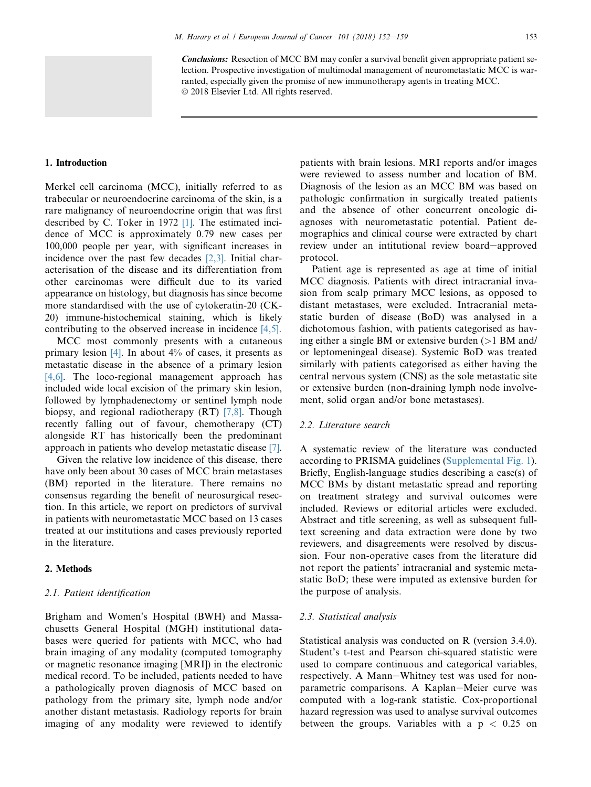**Conclusions:** Resection of MCC BM may confer a survival benefit given appropriate patient selection. Prospective investigation of multimodal management of neurometastatic MCC is warranted, especially given the promise of new immunotherapy agents in treating MCC.  $© 2018 Elsevier Ltd. All rights reserved.$ 

# 1. Introduction

Merkel cell carcinoma (MCC), initially referred to as trabecular or neuroendocrine carcinoma of the skin, is a rare malignancy of neuroendocrine origin that was first described by C. Toker in 1972 [\[1\]](#page-7-0). The estimated incidence of MCC is approximately 0.79 new cases per 100,000 people per year, with significant increases in incidence over the past few decades [\[2,3\].](#page-7-0) Initial characterisation of the disease and its differentiation from other carcinomas were difficult due to its varied appearance on histology, but diagnosis has since become more standardised with the use of cytokeratin-20 (CK-20) immune-histochemical staining, which is likely contributing to the observed increase in incidence [\[4,5\]](#page-7-0).

MCC most commonly presents with a cutaneous primary lesion  $[4]$ . In about  $4\%$  of cases, it presents as metastatic disease in the absence of a primary lesion [\[4,6\]](#page-7-0). The loco-regional management approach has included wide local excision of the primary skin lesion, followed by lymphadenectomy or sentinel lymph node biopsy, and regional radiotherapy (RT) [\[7,8\].](#page-7-0) Though recently falling out of favour, chemotherapy (CT) alongside RT has historically been the predominant approach in patients who develop metastatic disease [\[7\].](#page-7-0)

Given the relative low incidence of this disease, there have only been about 30 cases of MCC brain metastases (BM) reported in the literature. There remains no consensus regarding the benefit of neurosurgical resection. In this article, we report on predictors of survival in patients with neurometastatic MCC based on 13 cases treated at our institutions and cases previously reported in the literature.

# 2. Methods

#### 2.1. Patient identification

Brigham and Women's Hospital (BWH) and Massachusetts General Hospital (MGH) institutional databases were queried for patients with MCC, who had brain imaging of any modality (computed tomography or magnetic resonance imaging [MRI]) in the electronic medical record. To be included, patients needed to have a pathologically proven diagnosis of MCC based on pathology from the primary site, lymph node and/or another distant metastasis. Radiology reports for brain imaging of any modality were reviewed to identify patients with brain lesions. MRI reports and/or images were reviewed to assess number and location of BM. Diagnosis of the lesion as an MCC BM was based on pathologic confirmation in surgically treated patients and the absence of other concurrent oncologic diagnoses with neurometastatic potential. Patient demographics and clinical course were extracted by chart review under an intitutional review board-approved protocol.

Patient age is represented as age at time of initial MCC diagnosis. Patients with direct intracranial invasion from scalp primary MCC lesions, as opposed to distant metastases, were excluded. Intracranial metastatic burden of disease (BoD) was analysed in a dichotomous fashion, with patients categorised as having either a single BM or extensive burden  $(>1$  BM and/ or leptomeningeal disease). Systemic BoD was treated similarly with patients categorised as either having the central nervous system (CNS) as the sole metastatic site or extensive burden (non-draining lymph node involvement, solid organ and/or bone metastases).

# 2.2. Literature search

A systematic review of the literature was conducted according to PRISMA guidelines (Supplemental Fig. 1). Briefly, English-language studies describing a case(s) of MCC BMs by distant metastatic spread and reporting on treatment strategy and survival outcomes were included. Reviews or editorial articles were excluded. Abstract and title screening, as well as subsequent fulltext screening and data extraction were done by two reviewers, and disagreements were resolved by discussion. Four non-operative cases from the literature did not report the patients' intracranial and systemic metastatic BoD; these were imputed as extensive burden for the purpose of analysis.

#### 2.3. Statistical analysis

Statistical analysis was conducted on R (version 3.4.0). Student's t-test and Pearson chi-squared statistic were used to compare continuous and categorical variables, respectively. A Mann-Whitney test was used for nonparametric comparisons. A Kaplan-Meier curve was computed with a log-rank statistic. Cox-proportional hazard regression was used to analyse survival outcomes between the groups. Variables with a  $p < 0.25$  on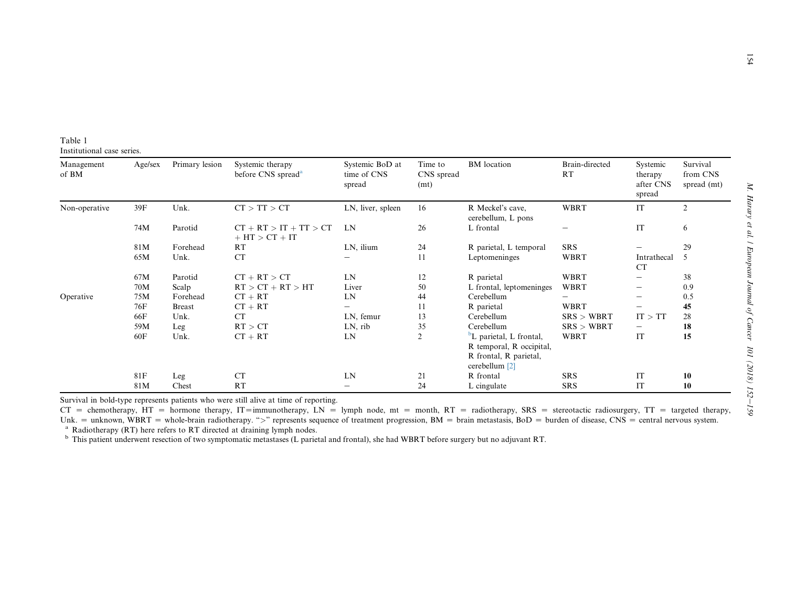<span id="page-3-0"></span>

| Management<br>of BM | Age/sex | Primary lesion | Systemic therapy<br>before CNS spread <sup>a</sup> | Systemic BoD at<br>time of CNS<br>spread | Time to<br>CNS spread<br>(mt) | <b>BM</b> location                                                                                            | Brain-directed<br>RT | Systemic<br>therapy<br>after CNS<br>spread | Survival<br>from CNS<br>spread (mt) |
|---------------------|---------|----------------|----------------------------------------------------|------------------------------------------|-------------------------------|---------------------------------------------------------------------------------------------------------------|----------------------|--------------------------------------------|-------------------------------------|
| Non-operative       | 39F     | Unk.           | CT > TT > CT                                       | LN, liver, spleen                        | 16                            | R Meckel's cave,<br>cerebellum, L pons                                                                        | <b>WBRT</b>          | IT                                         | 2                                   |
|                     | 74M     | Parotid        | $CT + RT > IT + TT > CT$<br>$+ HT > CT + IT$       | LN                                       | 26                            | L frontal                                                                                                     | -                    | IT                                         | 6                                   |
|                     | 81M     | Forehead       | RT                                                 | LN, ilium                                | 24                            | R parietal, L temporal                                                                                        | <b>SRS</b>           |                                            | 29                                  |
|                     | 65M     | Unk.           | CT                                                 |                                          | 11                            | Leptomeninges                                                                                                 | <b>WBRT</b>          | Intrathecal<br><b>CT</b>                   | 5                                   |
|                     | 67M     | Parotid        | $CT + RT > CT$                                     | LN                                       | 12                            | R parietal                                                                                                    | <b>WBRT</b>          |                                            | 38                                  |
|                     | 70M     | Scalp          | $RT > CT + RT > HT$                                | Liver                                    | 50                            | L frontal, leptomeninges                                                                                      | <b>WBRT</b>          |                                            | 0.9                                 |
| Operative           | 75M     | Forehead       | $CT + RT$                                          | LN                                       | 44                            | Cerebellum                                                                                                    |                      | $\qquad \qquad \longleftarrow$             | 0.5                                 |
|                     | 76F     | <b>Breast</b>  | $CT + RT$                                          | $\overline{\phantom{0}}$                 | 11                            | R parietal                                                                                                    | <b>WBRT</b>          | $\overline{\phantom{m}}$                   | 45                                  |
|                     | 66F     | Unk.           | CT                                                 | LN, femur                                | 13                            | Cerebellum                                                                                                    | SRS > WBRT           | IT > TT                                    | 28                                  |
|                     | 59M     | Leg            | RT > CT                                            | LN, rib                                  | 35                            | Cerebellum                                                                                                    | SRS > WBRT           | $\overline{\phantom{m}}$                   | 18                                  |
|                     | 60F     | Unk.           | $CT + RT$                                          | LN                                       | $\overline{2}$                | <sup>b</sup> L parietal, L frontal,<br>R temporal, R occipital,<br>R frontal, R parietal,<br>cerebellum $[2]$ | <b>WBRT</b>          | IT                                         | 15                                  |
|                     | 81F     | Leg            | CT                                                 | LN                                       | 21                            | R frontal                                                                                                     | <b>SRS</b>           | IT                                         | 10                                  |
|                     | 81M     | Chest          | RT                                                 |                                          | 24                            | L cingulate                                                                                                   | <b>SRS</b>           | IT                                         | 10                                  |

Survival in bold-type represents patients who were still alive at time of reporting.

 $CT$  = chemotherapy,  $HT$  = hormone therapy,  $IT$ =immunotherapy,  $LN$  = lymph node,  $mt$  = month,  $RT$  = radiotherapy,  $SRS$  = stereotactic radiosurgery,  $TT$  = targeted therapy, Unk.  $=$  unknown, WBRT  $=$  whole-brain radiotherapy. ">" represents sequence of treatment progression, BM  $=$  brain metastasis, BoD  $=$  burden of disease, CNS  $=$  central nervous system.

<sup>a</sup> Radiotherapy (RT) here refers to RT directed at draining lymph nodes.

 $\rm{^{b}}$  This patient underwent resection of two symptomatic metastases (L parietal and frontal), she had WBRT before surgery but no adjuvant RT.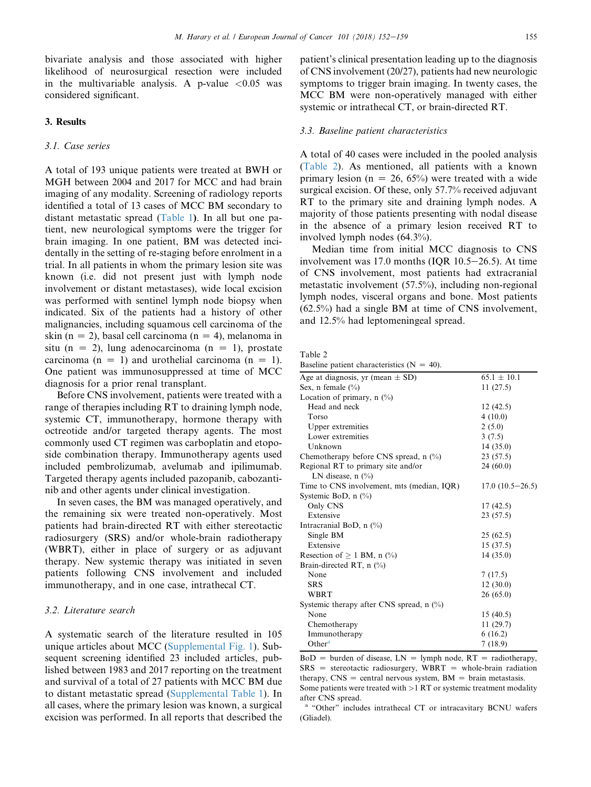# 3. Results

#### 3.1. Case series

A total of 193 unique patients were treated at BWH or MGH between 2004 and 2017 for MCC and had brain imaging of any modality. Screening of radiology reports identified a total of 13 cases of MCC BM secondary to distant metastatic spread ([Table 1](#page-3-0)). In all but one patient, new neurological symptoms were the trigger for brain imaging. In one patient, BM was detected incidentally in the setting of re-staging before enrolment in a trial. In all patients in whom the primary lesion site was known (i.e. did not present just with lymph node involvement or distant metastases), wide local excision was performed with sentinel lymph node biopsy when indicated. Six of the patients had a history of other malignancies, including squamous cell carcinoma of the skin (n = 2), basal cell carcinoma (n = 4), melanoma in situ (n = 2), lung adenocarcinoma (n = 1), prostate carcinoma (n = 1) and urothelial carcinoma (n = 1). One patient was immunosuppressed at time of MCC diagnosis for a prior renal transplant.

Before CNS involvement, patients were treated with a range of therapies including RT to draining lymph node, systemic CT, immunotherapy, hormone therapy with octreotide and/or targeted therapy agents. The most commonly used CT regimen was carboplatin and etoposide combination therapy. Immunotherapy agents used included pembrolizumab, avelumab and ipilimumab. Targeted therapy agents included pazopanib, cabozantinib and other agents under clinical investigation.

In seven cases, the BM was managed operatively, and the remaining six were treated non-operatively. Most patients had brain-directed RT with either stereotactic radiosurgery (SRS) and/or whole-brain radiotherapy (WBRT), either in place of surgery or as adjuvant therapy. New systemic therapy was initiated in seven patients following CNS involvement and included immunotherapy, and in one case, intrathecal CT.

#### 3.2. Literature search

A systematic search of the literature resulted in 105 unique articles about MCC (Supplemental Fig. 1). Subsequent screening identified 23 included articles, published between 1983 and 2017 reporting on the treatment and survival of a total of 27 patients with MCC BM due to distant metastatic spread (Supplemental Table 1). In all cases, where the primary lesion was known, a surgical excision was performed. In all reports that described the patient's clinical presentation leading up to the diagnosis of CNS involvement (20/27), patients had new neurologic symptoms to trigger brain imaging. In twenty cases, the MCC BM were non-operatively managed with either systemic or intrathecal CT, or brain-directed RT.

#### 3.3. Baseline patient characteristics

A total of 40 cases were included in the pooled analysis (Table 2). As mentioned, all patients with a known primary lesion ( $n = 26, 65\%$ ) were treated with a wide surgical excision. Of these, only 57.7% received adjuvant RT to the primary site and draining lymph nodes. A majority of those patients presenting with nodal disease in the absence of a primary lesion received RT to involved lymph nodes (64.3%).

Median time from initial MCC diagnosis to CNS involvement was  $17.0$  months (IQR  $10.5-26.5$ ). At time of CNS involvement, most patients had extracranial metastatic involvement (57.5%), including non-regional lymph nodes, visceral organs and bone. Most patients (62.5%) had a single BM at time of CNS involvement, and 12.5% had leptomeningeal spread.

| anie |  |
|------|--|
|------|--|

|--|

| Age at diagnosis, yr (mean $\pm$ SD)                | $65.1 \pm 10.1$   |
|-----------------------------------------------------|-------------------|
| Sex, n female $(\%)$                                | 11(27.5)          |
| Location of primary, $n$ (%)                        |                   |
| Head and neck                                       | 12(42.5)          |
| Torso                                               | 4(10.0)           |
| Upper extremities                                   | 2(5.0)            |
| Lower extremities                                   | 3(7.5)            |
| Unknown                                             | 14(35.0)          |
| Chemotherapy before CNS spread, $n$ (%)             | 23(57.5)          |
| Regional RT to primary site and/or                  | 24(60.0)          |
| LN disease, $n$ (%)                                 |                   |
| Time to CNS involvement, mts (median, IQR)          | $17.0(10.5-26.5)$ |
| Systemic BoD, n (%)                                 |                   |
| Only CNS                                            | 17(42.5)          |
| Extensive                                           | 23 (57.5)         |
| Intracranial BoD, $n$ (%)                           |                   |
| Single BM                                           | 25(62.5)          |
| Extensive                                           | 15(37.5)          |
| Resection of $> 1$ BM, n $\left(\frac{9}{0}\right)$ | 14(35.0)          |
| Brain-directed RT, $n$ (%)                          |                   |
| None                                                | 7(17.5)           |
| <b>SRS</b>                                          | 12(30.0)          |
| <b>WBRT</b>                                         | 26(65.0)          |
| Systemic therapy after CNS spread, $n$ (%)          |                   |
| None                                                | 15(40.5)          |
| Chemotherapy                                        | 11(29.7)          |
| Immunotherapy                                       | 6(16.2)           |
| Other <sup>a</sup>                                  | 7(18.9)           |
|                                                     |                   |

 $BoD = burden of disease, LN = lymph node, RT = radiotherapy,$  $SRS =$  stereotactic radiosurgery, WBRT = whole-brain radiation therapy,  $CNS =$  central nervous system,  $BM =$  brain metastasis. Some patients were treated with >1 RT or systemic treatment modality after CNS spread.

<sup>a</sup> "Other" includes intrathecal CT or intracavitary BCNU wafers (Gliadel).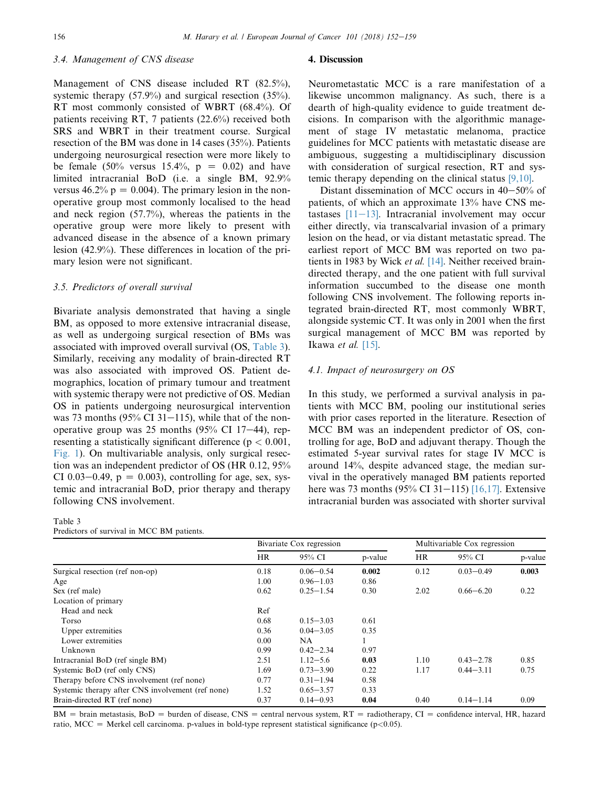# 3.4. Management of CNS disease

Management of CNS disease included RT (82.5%), systemic therapy (57.9%) and surgical resection (35%). RT most commonly consisted of WBRT (68.4%). Of patients receiving RT, 7 patients (22.6%) received both SRS and WBRT in their treatment course. Surgical resection of the BM was done in 14 cases (35%). Patients undergoing neurosurgical resection were more likely to be female  $(50\%$  versus 15.4%,  $p = 0.02$ ) and have limited intracranial BoD (i.e. a single BM, 92.9% versus  $46.2\%$  p = 0.004). The primary lesion in the nonoperative group most commonly localised to the head and neck region (57.7%), whereas the patients in the operative group were more likely to present with advanced disease in the absence of a known primary lesion (42.9%). These differences in location of the primary lesion were not significant.

# 3.5. Predictors of overall survival

Bivariate analysis demonstrated that having a single BM, as opposed to more extensive intracranial disease, as well as undergoing surgical resection of BMs was associated with improved overall survival (OS, Table 3). Similarly, receiving any modality of brain-directed RT was also associated with improved OS. Patient demographics, location of primary tumour and treatment with systemic therapy were not predictive of OS. Median OS in patients undergoing neurosurgical intervention was 73 months (95% CI 31–115), while that of the nonoperative group was 25 months  $(95\% \text{ CI } 17-44)$ , representing a statistically significant difference ( $p < 0.001$ , [Fig. 1\)](#page-6-0). On multivariable analysis, only surgical resection was an independent predictor of OS (HR 0.12, 95% CI 0.03–0.49,  $p = 0.003$ , controlling for age, sex, systemic and intracranial BoD, prior therapy and therapy following CNS involvement.

#### Table 3

Predictors of survival in MCC BM patients.

### 4. Discussion

Neurometastatic MCC is a rare manifestation of a likewise uncommon malignancy. As such, there is a dearth of high-quality evidence to guide treatment decisions. In comparison with the algorithmic management of stage IV metastatic melanoma, practice guidelines for MCC patients with metastatic disease are ambiguous, suggesting a multidisciplinary discussion with consideration of surgical resection, RT and systemic therapy depending on the clinical status [\[9,10\].](#page-7-0)

Distant dissemination of MCC occurs in  $40-50\%$  of patients, of which an approximate 13% have CNS metastases  $[11-13]$  $[11-13]$  $[11-13]$ . Intracranial involvement may occur either directly, via transcalvarial invasion of a primary lesion on the head, or via distant metastatic spread. The earliest report of MCC BM was reported on two patients in 1983 by Wick et al. [\[14\].](#page-7-0) Neither received braindirected therapy, and the one patient with full survival information succumbed to the disease one month following CNS involvement. The following reports integrated brain-directed RT, most commonly WBRT, alongside systemic CT. It was only in 2001 when the first surgical management of MCC BM was reported by Ikawa et al. [\[15\].](#page-7-0)

# 4.1. Impact of neurosurgery on OS

In this study, we performed a survival analysis in patients with MCC BM, pooling our institutional series with prior cases reported in the literature. Resection of MCC BM was an independent predictor of OS, controlling for age, BoD and adjuvant therapy. Though the estimated 5-year survival rates for stage IV MCC is around 14%, despite advanced stage, the median survival in the operatively managed BM patients reported here was 73 months (95% CI 31–115) [\[16,17\].](#page-8-0) Extensive intracranial burden was associated with shorter survival

|                                                   | Bivariate Cox regression |               |         | Multivariable Cox regression |               |         |
|---------------------------------------------------|--------------------------|---------------|---------|------------------------------|---------------|---------|
|                                                   | <b>HR</b>                | 95% CI        | p-value | HR                           | 95% CI        | p-value |
| Surgical resection (ref non-op)                   | 0.18                     | $0.06 - 0.54$ | 0.002   | 0.12                         | $0.03 - 0.49$ | 0.003   |
| Age                                               | 1.00                     | $0.96 - 1.03$ | 0.86    |                              |               |         |
| Sex (ref male)                                    | 0.62                     | $0.25 - 1.54$ | 0.30    | 2.02                         | $0.66 - 6.20$ | 0.22    |
| Location of primary                               |                          |               |         |                              |               |         |
| Head and neck                                     | Ref                      |               |         |                              |               |         |
| Torso                                             | 0.68                     | $0.15 - 3.03$ | 0.61    |                              |               |         |
| Upper extremities                                 | 0.36                     | $0.04 - 3.05$ | 0.35    |                              |               |         |
| Lower extremities                                 | 0.00                     | NA            |         |                              |               |         |
| Unknown                                           | 0.99                     | $0.42 - 2.34$ | 0.97    |                              |               |         |
| Intracranial BoD (ref single BM)                  | 2.51                     | $1.12 - 5.6$  | 0.03    | 1.10                         | $0.43 - 2.78$ | 0.85    |
| Systemic BoD (ref only CNS)                       | 1.69                     | $0.73 - 3.90$ | 0.22    | 1.17                         | $0.44 - 3.11$ | 0.75    |
| Therapy before CNS involvement (ref none)         | 0.77                     | $0.31 - 1.94$ | 0.58    |                              |               |         |
| Systemic therapy after CNS involvement (ref none) | 1.52                     | $0.65 - 3.57$ | 0.33    |                              |               |         |
| Brain-directed RT (ref none)                      | 0.37                     | $0.14 - 0.93$ | 0.04    | 0.40                         | $0.14 - 1.14$ | 0.09    |

 $BM = brain metastasis, Bob = burden of disease, CMS = central nervous system, RT = radiotherapy, CI = confidence interval, HR, hazard$ ratio, MCC = Merkel cell carcinoma. p-values in bold-type represent statistical significance (p<0.05).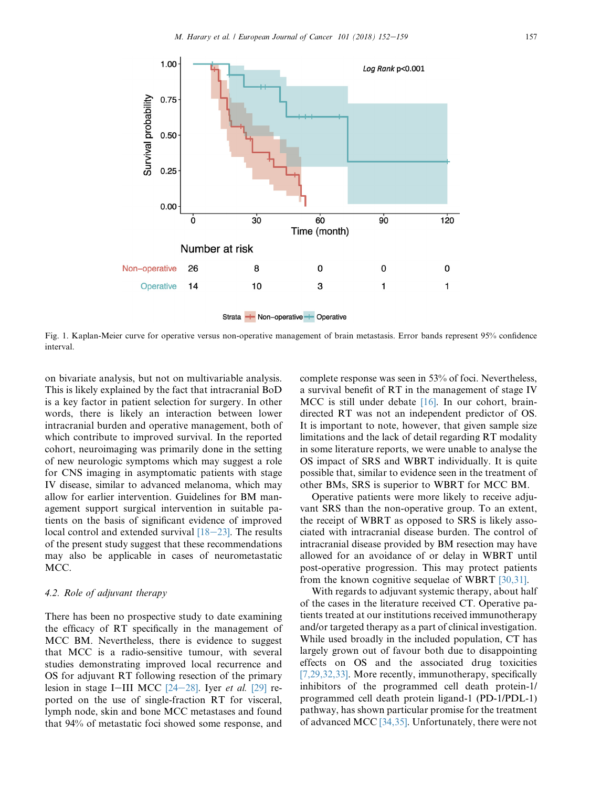<span id="page-6-0"></span>

Fig. 1. Kaplan-Meier curve for operative versus non-operative management of brain metastasis. Error bands represent 95% confidence interval.

on bivariate analysis, but not on multivariable analysis. This is likely explained by the fact that intracranial BoD is a key factor in patient selection for surgery. In other words, there is likely an interaction between lower intracranial burden and operative management, both of which contribute to improved survival. In the reported cohort, neuroimaging was primarily done in the setting of new neurologic symptoms which may suggest a role for CNS imaging in asymptomatic patients with stage IV disease, similar to advanced melanoma, which may allow for earlier intervention. Guidelines for BM management support surgical intervention in suitable patients on the basis of significant evidence of improved local control and extended survival  $[18-23]$  $[18-23]$ . The results of the present study suggest that these recommendations may also be applicable in cases of neurometastatic MCC.

# 4.2. Role of adjuvant therapy

There has been no prospective study to date examining the efficacy of RT specifically in the management of MCC BM. Nevertheless, there is evidence to suggest that MCC is a radio-sensitive tumour, with several studies demonstrating improved local recurrence and OS for adjuvant RT following resection of the primary lesion in stage I-III MCC  $[24-28]$  $[24-28]$ . Iyer *et al.*  $[29]$  reported on the use of single-fraction RT for visceral, lymph node, skin and bone MCC metastases and found that 94% of metastatic foci showed some response, and complete response was seen in 53% of foci. Nevertheless, a survival benefit of RT in the management of stage IV MCC is still under debate [\[16\].](#page-8-0) In our cohort, braindirected RT was not an independent predictor of OS. It is important to note, however, that given sample size limitations and the lack of detail regarding RT modality in some literature reports, we were unable to analyse the OS impact of SRS and WBRT individually. It is quite possible that, similar to evidence seen in the treatment of other BMs, SRS is superior to WBRT for MCC BM.

Operative patients were more likely to receive adjuvant SRS than the non-operative group. To an extent, the receipt of WBRT as opposed to SRS is likely associated with intracranial disease burden. The control of intracranial disease provided by BM resection may have allowed for an avoidance of or delay in WBRT until post-operative progression. This may protect patients from the known cognitive sequelae of WBRT [\[30,31\].](#page-8-0)

With regards to adjuvant systemic therapy, about half of the cases in the literature received CT. Operative patients treated at our institutions received immunotherapy and/or targeted therapy as a part of clinical investigation. While used broadly in the included population, CT has largely grown out of favour both due to disappointing effects on OS and the associated drug toxicities [\[7,29,32,33\].](#page-7-0) More recently, immunotherapy, specifically inhibitors of the programmed cell death protein-1/ programmed cell death protein ligand-1 (PD-1/PDL-1) pathway, has shown particular promise for the treatment of advanced MCC [\[34,35\]](#page-8-0). Unfortunately, there were not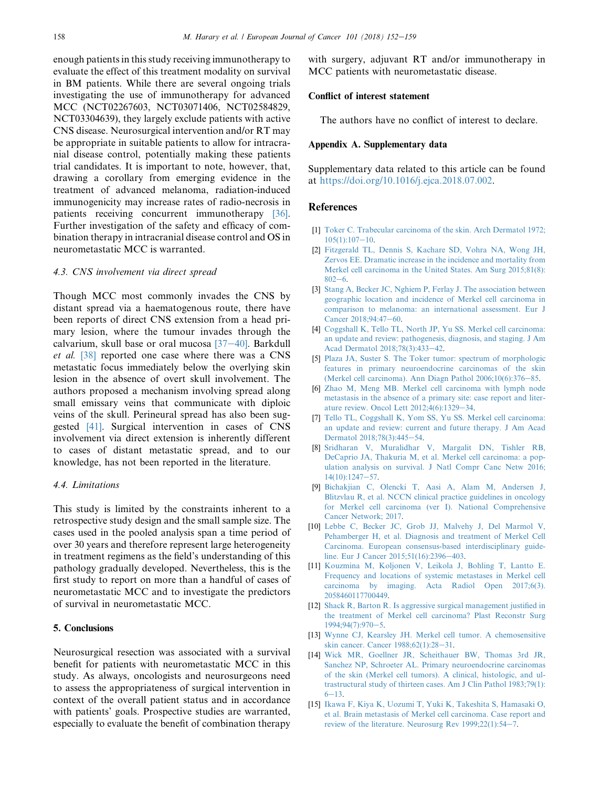<span id="page-7-0"></span>enough patients in this study receiving immunotherapy to evaluate the effect of this treatment modality on survival in BM patients. While there are several ongoing trials investigating the use of immunotherapy for advanced MCC (NCT02267603, NCT03071406, NCT02584829, NCT03304639), they largely exclude patients with active CNS disease. Neurosurgical intervention and/or RT may be appropriate in suitable patients to allow for intracranial disease control, potentially making these patients trial candidates. It is important to note, however, that, drawing a corollary from emerging evidence in the treatment of advanced melanoma, radiation-induced immunogenicity may increase rates of radio-necrosis in patients receiving concurrent immunotherapy [\[36\]](#page-8-0). Further investigation of the safety and efficacy of combination therapy in intracranial disease control and OS in neurometastatic MCC is warranted.

# 4.3. CNS involvement via direct spread

Though MCC most commonly invades the CNS by distant spread via a haematogenous route, there have been reports of direct CNS extension from a head primary lesion, where the tumour invades through the calvarium, skull base or oral mucosa  $[37-40]$  $[37-40]$  $[37-40]$ . Barkdull et al. [\[38\]](#page-8-0) reported one case where there was a CNS metastatic focus immediately below the overlying skin lesion in the absence of overt skull involvement. The authors proposed a mechanism involving spread along small emissary veins that communicate with diploic veins of the skull. Perineural spread has also been suggested [\[41\].](#page-8-0) Surgical intervention in cases of CNS involvement via direct extension is inherently different to cases of distant metastatic spread, and to our knowledge, has not been reported in the literature.

# 4.4. Limitations

This study is limited by the constraints inherent to a retrospective study design and the small sample size. The cases used in the pooled analysis span a time period of over 30 years and therefore represent large heterogeneity in treatment regimens as the field's understanding of this pathology gradually developed. Nevertheless, this is the first study to report on more than a handful of cases of neurometastatic MCC and to investigate the predictors of survival in neurometastatic MCC.

### 5. Conclusions

Neurosurgical resection was associated with a survival benefit for patients with neurometastatic MCC in this study. As always, oncologists and neurosurgeons need to assess the appropriateness of surgical intervention in context of the overall patient status and in accordance with patients' goals. Prospective studies are warranted, especially to evaluate the benefit of combination therapy

with surgery, adjuvant RT and/or immunotherapy in MCC patients with neurometastatic disease.

# Conflict of interest statement

The authors have no conflict of interest to declare.

# Appendix A. Supplementary data

Supplementary data related to this article can be found at <https://doi.org/10.1016/j.ejca.2018.07.002>.

#### References

- [1] [Toker C. Trabecular carcinoma of the skin. Arch Dermatol 1972;](http://refhub.elsevier.com/S0959-8049(18)30952-3/sref1)  $105(1):107-10.$  $105(1):107-10.$  $105(1):107-10.$  $105(1):107-10.$
- [2] [Fitzgerald TL, Dennis S, Kachare SD, Vohra NA, Wong JH,](http://refhub.elsevier.com/S0959-8049(18)30952-3/sref2) [Zervos EE. Dramatic increase in the incidence and mortality from](http://refhub.elsevier.com/S0959-8049(18)30952-3/sref2) [Merkel cell carcinoma in the United States. Am Surg 2015;81\(8\):](http://refhub.elsevier.com/S0959-8049(18)30952-3/sref2)  $802 - 6$  $802 - 6$
- [3] [Stang A, Becker JC, Nghiem P, Ferlay J. The association between](http://refhub.elsevier.com/S0959-8049(18)30952-3/sref3) [geographic location and incidence of Merkel cell carcinoma in](http://refhub.elsevier.com/S0959-8049(18)30952-3/sref3) [comparison to melanoma: an international assessment. Eur J](http://refhub.elsevier.com/S0959-8049(18)30952-3/sref3) [Cancer 2018;94:47](http://refhub.elsevier.com/S0959-8049(18)30952-3/sref3)-[60.](http://refhub.elsevier.com/S0959-8049(18)30952-3/sref3)
- [4] [Coggshall K, Tello TL, North JP, Yu SS. Merkel cell carcinoma:](http://refhub.elsevier.com/S0959-8049(18)30952-3/sref4) [an update and review: pathogenesis, diagnosis, and staging. J Am](http://refhub.elsevier.com/S0959-8049(18)30952-3/sref4) [Acad Dermatol 2018;78\(3\):433](http://refhub.elsevier.com/S0959-8049(18)30952-3/sref4)-[42](http://refhub.elsevier.com/S0959-8049(18)30952-3/sref4).
- [5] [Plaza JA, Suster S. The Toker tumor: spectrum of morphologic](http://refhub.elsevier.com/S0959-8049(18)30952-3/sref5) [features in primary neuroendocrine carcinomas of the skin](http://refhub.elsevier.com/S0959-8049(18)30952-3/sref5) (Merkel cell carcinoma). Ann Diagn Pathol  $2006;10(6):376-85$  $2006;10(6):376-85$ .
- [6] [Zhao M, Meng MB. Merkel cell carcinoma with lymph node](http://refhub.elsevier.com/S0959-8049(18)30952-3/sref6) [metastasis in the absence of a primary site: case report and liter](http://refhub.elsevier.com/S0959-8049(18)30952-3/sref6)ature review. Oncol Lett  $2012;4(6):1329-34$  $2012;4(6):1329-34$ .
- [7] [Tello TL, Coggshall K, Yom SS, Yu SS. Merkel cell carcinoma:](http://refhub.elsevier.com/S0959-8049(18)30952-3/sref7) [an update and review: current and future therapy. J Am Acad](http://refhub.elsevier.com/S0959-8049(18)30952-3/sref7) [Dermatol 2018;78\(3\):445](http://refhub.elsevier.com/S0959-8049(18)30952-3/sref7)-[54.](http://refhub.elsevier.com/S0959-8049(18)30952-3/sref7)
- [8] [Sridharan V, Muralidhar V, Margalit DN, Tishler RB,](http://refhub.elsevier.com/S0959-8049(18)30952-3/sref8) [DeCaprio JA, Thakuria M, et al. Merkel cell carcinoma: a pop](http://refhub.elsevier.com/S0959-8049(18)30952-3/sref8)[ulation analysis on survival. J Natl Compr Canc Netw 2016;](http://refhub.elsevier.com/S0959-8049(18)30952-3/sref8)  $14(10):1247 - 57.$  $14(10):1247 - 57.$  $14(10):1247 - 57.$  $14(10):1247 - 57.$
- [9] [Bichakjian C, Olencki T, Aasi A, Alam M, Andersen J,](http://refhub.elsevier.com/S0959-8049(18)30952-3/sref9) [Blitzvlau R, et al. NCCN clinical practice guidelines in oncology](http://refhub.elsevier.com/S0959-8049(18)30952-3/sref9) [for Merkel cell carcinoma \(ver I\). National Comprehensive](http://refhub.elsevier.com/S0959-8049(18)30952-3/sref9) [Cancer Network; 2017.](http://refhub.elsevier.com/S0959-8049(18)30952-3/sref9)
- [10] [Lebbe C, Becker JC, Grob JJ, Malvehy J, Del Marmol V,](http://refhub.elsevier.com/S0959-8049(18)30952-3/sref10) [Pehamberger H, et al. Diagnosis and treatment of Merkel Cell](http://refhub.elsevier.com/S0959-8049(18)30952-3/sref10) [Carcinoma. European consensus-based interdisciplinary guide](http://refhub.elsevier.com/S0959-8049(18)30952-3/sref10)line. Eur J Cancer  $2015;51(16):2396-403$  $2015;51(16):2396-403$ .
- [11] [Kouzmina M, Koljonen V, Leikola J, Bohling T, Lantto E.](http://refhub.elsevier.com/S0959-8049(18)30952-3/sref11) [Frequency and locations of systemic metastases in Merkel cell](http://refhub.elsevier.com/S0959-8049(18)30952-3/sref11) [carcinoma by imaging. Acta Radiol Open 2017;6\(3\).](http://refhub.elsevier.com/S0959-8049(18)30952-3/sref11) [2058460117700449.](http://refhub.elsevier.com/S0959-8049(18)30952-3/sref11)
- [12] [Shack R, Barton R. Is aggressive surgical management justified in](http://refhub.elsevier.com/S0959-8049(18)30952-3/sref12) [the treatment of Merkel cell carcinoma? Plast Reconstr Surg](http://refhub.elsevier.com/S0959-8049(18)30952-3/sref12) [1994;94\(7\):970](http://refhub.elsevier.com/S0959-8049(18)30952-3/sref12)-[5](http://refhub.elsevier.com/S0959-8049(18)30952-3/sref12).
- [13] [Wynne CJ, Kearsley JH. Merkel cell tumor. A chemosensitive](http://refhub.elsevier.com/S0959-8049(18)30952-3/sref13) [skin cancer. Cancer 1988;62\(1\):28](http://refhub.elsevier.com/S0959-8049(18)30952-3/sref13)-[31](http://refhub.elsevier.com/S0959-8049(18)30952-3/sref13).
- [14] [Wick MR, Goellner JR, Scheithauer BW, Thomas 3rd JR,](http://refhub.elsevier.com/S0959-8049(18)30952-3/sref14) [Sanchez NP, Schroeter AL. Primary neuroendocrine carcinomas](http://refhub.elsevier.com/S0959-8049(18)30952-3/sref14) [of the skin \(Merkel cell tumors\). A clinical, histologic, and ul](http://refhub.elsevier.com/S0959-8049(18)30952-3/sref14)[trastructural study of thirteen cases. Am J Clin Pathol 1983;79\(1\):](http://refhub.elsevier.com/S0959-8049(18)30952-3/sref14)  $6 - 13$  $6 - 13$ .
- [15] [Ikawa F, Kiya K, Uozumi T, Yuki K, Takeshita S, Hamasaki O,](http://refhub.elsevier.com/S0959-8049(18)30952-3/sref15) [et al. Brain metastasis of Merkel cell carcinoma. Case report and](http://refhub.elsevier.com/S0959-8049(18)30952-3/sref15) review of the literature. Neurosurg Rev  $1999;22(1):54-7$ .